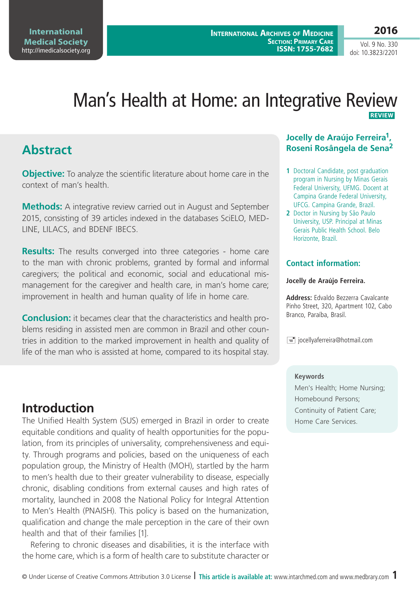# Man's Health at Home: an Integrative Review  **REVIEW**

# **Abstract**

**Objective:** To analyze the scientific literature about home care in the context of man's health.

**Methods:** A integrative review carried out in August and September 2015, consisting of 39 articles indexed in the databases SciELO, MED-LINE, LILACS, and BDENF IBECS.

**Results:** The results converged into three categories - home care to the man with chronic problems, granted by formal and informal caregivers; the political and economic, social and educational mismanagement for the caregiver and health care, in man's home care; improvement in health and human quality of life in home care.

**Conclusion:** it becames clear that the characteristics and health problems residing in assisted men are common in Brazil and other countries in addition to the marked improvement in health and quality of life of the man who is assisted at home, compared to its hospital stay.

# **Introduction**

The Unified Health System (SUS) emerged in Brazil in order to create equitable conditions and quality of health opportunities for the population, from its principles of universality, comprehensiveness and equity. Through programs and policies, based on the uniqueness of each population group, the Ministry of Health (MOH), startled by the harm to men's health due to their greater vulnerability to disease, especially chronic, disabling conditions from external causes and high rates of mortality, launched in 2008 the National Policy for Integral Attention to Men's Health (PNAISH). This policy is based on the humanization, qualification and change the male perception in the care of their own health and that of their families [1].

Refering to chronic diseases and disabilities, it is the interface with the home care, which is a form of health care to substitute character or

### **Jocelly de Araújo Ferreira1, Roseni Rosângela de Sena2**

- **1** Doctoral Candidate, post graduation program in Nursing by Minas Gerais Federal University, UFMG. Docent at Campina Grande Federal University, UFCG. Campina Grande, Brazil.
- **2** Doctor in Nursing by São Paulo University, USP. Principal at Minas Gerais Public Health School. Belo Horizonte, Brazil.

### **Contact information:**

### **Jocelly de Araújo Ferreira.**

**Address:** Edvaldo Bezzerra Cavalcante Pinho Street, 320, Apartment 102, Cabo Branco, Paraíba, Brasil.

 $\equiv$  jocellyaferreira@hotmail.com

### **Keywords**

Men's Health; Home Nursing; Homebound Persons; Continuity of Patient Care; Home Care Services.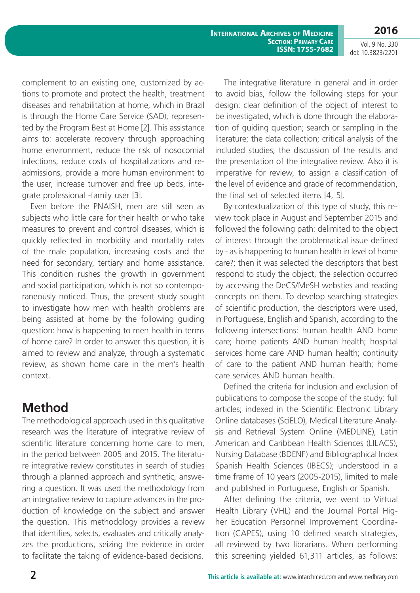**2016** Vol. 9 No. 330

doi: 10.3823/2201

complement to an existing one, customized by actions to promote and protect the health, treatment diseases and rehabilitation at home, which in Brazil is through the Home Care Service (SAD), represented by the Program Best at Home [2]. This assistance aims to: accelerate recovery through approaching home environment, reduce the risk of nosocomial infections, reduce costs of hospitalizations and readmissions, provide a more human environment to the user, increase turnover and free up beds, integrate professional -family user [3].

Even before the PNAISH, men are still seen as subjects who little care for their health or who take measures to prevent and control diseases, which is quickly reflected in morbidity and mortality rates of the male population, increasing costs and the need for secondary, tertiary and home assistance. This condition rushes the growth in government and social participation, which is not so contemporaneously noticed. Thus, the present study sought to investigate how men with health problems are being assisted at home by the following guiding question: how is happening to men health in terms of home care? In order to answer this question, it is aimed to review and analyze, through a systematic review, as shown home care in the men's health context.

## **Method**

The methodological approach used in this qualitative research was the literature of integrative review of scientific literature concerning home care to men, in the period between 2005 and 2015. The literature integrative review constitutes in search of studies through a planned approach and synthetic, answering a question. It was used the methodology from an integrative review to capture advances in the production of knowledge on the subject and answer the question. This methodology provides a review that identifies, selects, evaluates and critically analyzes the productions, seizing the evidence in order to facilitate the taking of evidence-based decisions.

The integrative literature in general and in order to avoid bias, follow the following steps for your design: clear definition of the object of interest to be investigated, which is done through the elaboration of guiding question; search or sampling in the literature; the data collection; critical analysis of the included studies; the discussion of the results and the presentation of the integrative review. Also it is imperative for review, to assign a classification of the level of evidence and grade of recommendation, the final set of selected items [4, 5].

By contextualization of this type of study, this review took place in August and September 2015 and followed the following path: delimited to the object of interest through the problematical issue defined by - as is happening to human health in level of home care?; then it was selected the descriptors that best respond to study the object, the selection occurred by accessing the DeCS/MeSH websties and reading concepts on them. To develop searching strategies of scientific production, the descriptors were used, in Portuguese, English and Spanish, according to the following intersections: human health AND home care; home patients AND human health; hospital services home care AND human health; continuity of care to the patient AND human health; home care services AND human health.

Defined the criteria for inclusion and exclusion of publications to compose the scope of the study: full articles; indexed in the Scientific Electronic Library Online databases (SciELO), Medical Literature Analysis and Retrieval System Online (MEDLINE), Latin American and Caribbean Health Sciences (LILACS), Nursing Database (BDENF) and Bibliographical Index Spanish Health Sciences (IBECS); understood in a time frame of 10 years (2005-2015), limited to male and published in Portuguese, English or Spanish.

After defining the criteria, we went to Virtual Health Library (VHL) and the Journal Portal Higher Education Personnel Improvement Coordination (CAPES), using 10 defined search strategies, all reviewed by two librarians. When performing this screening yielded 61,311 articles, as follows: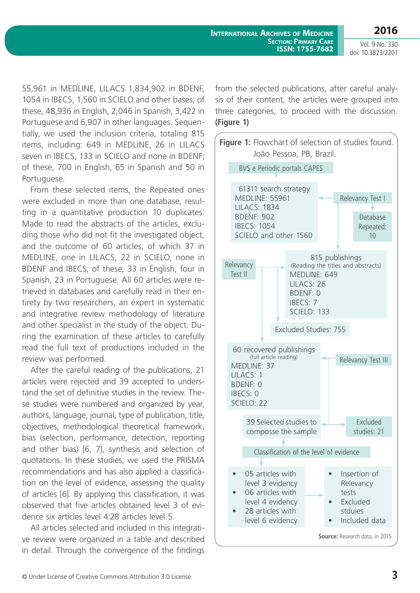**2016**

Vol. 9 No. 330 doi: 10.3823/2201

55,961 in MEDLINE, LILACS 1,834,902 in BDENF, 1054 in IBECS, 1,560 in SCIELO and other bases; of these, 48,936 in English, 2,046 in Spanish, 3,422 in Portuguese and 6,907 in other languages. Sequentially, we used the inclusion criteria, totaling 815 items, including: 649 in MEDLINE, 26 in LILACS seven in IBECS, 133 in SCIELO and none in BDENF; of these, 700 in English, 65 in Spanish and 50 in Portuguese.

From these selected items, the Repeated ones were excluded in more than one database, resulting in a quantitative production 10 duplicates. Made to read the abstracts of the articles, excluding those who did not fit the investigated object, and the outcome of 60 articles, of which 37 in MEDLINE, one in LILACS, 22 in SCIELO, none in BDENF and IBECS; of these, 33 in English, four in Spanish, 23 in Portuguese. All 60 articles were retrieved in databases and carefully read in their entirety by two researchers, an expert in systematic and integrative review methodology of literature and other specialist in the study of the object. During the examination of these articles to carefully read the full text of productions included in the review was performed.

After the careful reading of the publications, 21 articles were rejected and 39 accepted to understand the set of definitive studies in the review. These studies were numbered and organized by year, authors, language, journal, type of publication, title, objectives, methodological theoretical framework, bias (selection, performance, detection, reporting and other bias) [6, 7], synthesis and selection of quotations. In these studies, we used the PRISMA recommendations and has also applied a classification on the level of evidence, assessing the quality of articles [6]. By applying this classification, it was observed that five articles obtained level 3 of evidence six articles level 4:28 articles level 5.

All articles selected and included in this integrative review were organized in a table and described in detail. Through the convergence of the findings

from the selected publications, after careful analysis of their content, the articles were grouped into three categories, to proceed with the discussion. **(Figure 1)**

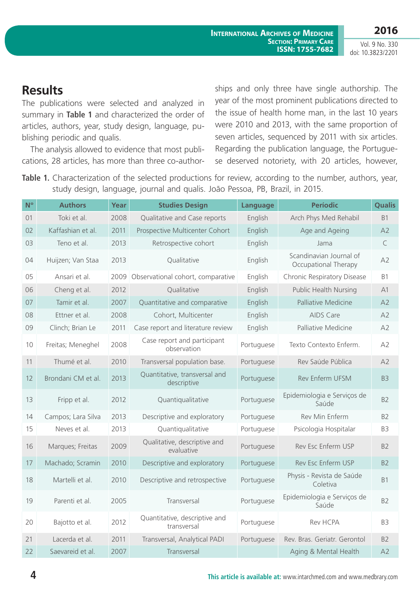# **Results**

The publications were selected and analyzed in summary in **Table 1** and characterized the order of articles, authors, year, study design, language, publishing periodic and qualis.

The analysis allowed to evidence that most publications, 28 articles, has more than three co-authorships and only three have single authorship. The year of the most prominent publications directed to the issue of health home man, in the last 10 years were 2010 and 2013, with the same proportion of seven articles, sequenced by 2011 with six articles. Regarding the publication language, the Portuguese deserved notoriety, with 20 articles, however,

Table 1. Characterization of the selected productions for review, according to the number, authors, year, study design, language, journal and qualis. João Pessoa, PB, Brazil, in 2015.

| N <sup>o</sup> | <b>Authors</b>     | Year | <b>Studies Design</b>                        | Language   | <b>Períodic</b>                                 | <b>Qualis</b>  |
|----------------|--------------------|------|----------------------------------------------|------------|-------------------------------------------------|----------------|
| 01             | Toki et al.        | 2008 | Qualitative and Case reports                 | English    | Arch Phys Med Rehabil                           | <b>B1</b>      |
| 02             | Kaffashian et al.  | 2011 | Prospective Multicenter Cohort               | English    | Age and Ageing                                  | A2             |
| 03             | Teno et al.        | 2013 | Retrospective cohort                         | English    | Jama                                            | C              |
| 04             | Huijzen; Van Staa  | 2013 | Qualitative                                  | English    | Scandinavian Journal of<br>Occupational Therapy | A2             |
| 05             | Ansari et al.      | 2009 | Observational cohort, comparative            | English    | Chronic Respiratory Disease                     | B1             |
| 06             | Cheng et al.       | 2012 | Qualitative                                  | English    | <b>Public Health Nursing</b>                    | A <sub>1</sub> |
| 07             | Tamir et al.       | 2007 | Quantitative and comparative                 | English    | Palliative Medicine                             | A2             |
| 08             | Ettner et al.      | 2008 | Cohort, Multicenter                          | English    | AIDS Care                                       | A2             |
| 09             | Clinch; Brian Le   | 2011 | Case report and literature review            | English    | Palliative Medicine                             | A2             |
| 10             | Freitas; Meneghel  | 2008 | Case report and participant<br>observation   | Portuguese | Texto Contexto Enferm.                          | A2             |
| 11             | Thumé et al.       | 2010 | Transversal population base.                 | Portuguese | Rev Saúde Pública                               | A2             |
| 12             | Brondani CM et al. | 2013 | Quantitative, transversal and<br>descriptive | Portuguese | Rev Enferm UFSM                                 | B <sub>3</sub> |
| 13             | Fripp et al.       | 2012 | Quantiqualitative                            | Portuguese | Epidemiologia e Serviços de<br>Saúde            | B <sub>2</sub> |
| 14             | Campos; Lara Silva | 2013 | Descriptive and exploratory                  | Portuguese | Rev Min Enferm                                  | B <sub>2</sub> |
| 15             | Neves et al.       | 2013 | Quantiqualitative                            | Portuguese | Psicologia Hospitalar                           | B3             |
| 16             | Marques; Freitas   | 2009 | Qualitative, descriptive and<br>evaluative   | Portuguese | Rev Esc Enferm USP                              | B <sub>2</sub> |
| 17             | Machado; Scramin   | 2010 | Descriptive and exploratory                  | Portuguese | Rev Esc Enferm USP                              | B <sub>2</sub> |
| 18             | Martelli et al.    | 2010 | Descriptive and retrospective                | Portuguese | Physis - Revista de Saúde<br>Coletiva           | <b>B1</b>      |
| 19             | Parenti et al.     | 2005 | Transversal                                  | Portuguese | Epidemiologia e Serviços de<br>Saúde            | B <sub>2</sub> |
| 20             | Bajotto et al.     | 2012 | Quantitative, descriptive and<br>transversal | Portuguese | Rev HCPA                                        | B <sub>3</sub> |
| 21             | Lacerda et al.     | 2011 | Transversal, Analytical PADI                 | Portuguese | Rev. Bras. Geriatr. Gerontol                    | B <sub>2</sub> |
| 22             | Saevareid et al.   | 2007 | Transversal                                  |            | Aging & Mental Health                           | A2             |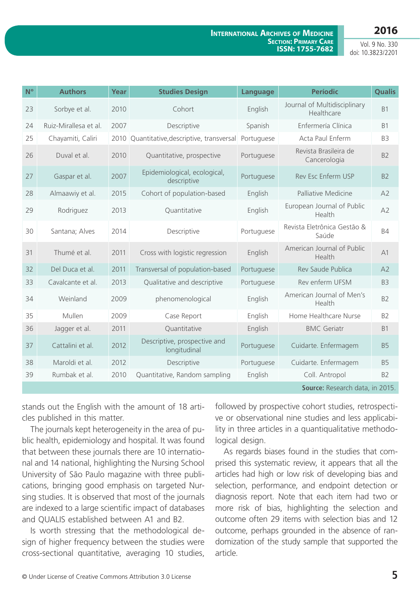## **2016**

#### **International Archives of Medicine Section: Primary Care ISSN: 1755-7682**

Vol. 9 No. 330 doi: 10.3823/2201

| N <sup>o</sup> | <b>Authors</b>                  | Year | <b>Studies Design</b>                        | Language   | <b>Períodic</b>                            | <b>Qualis</b>  |  |  |  |
|----------------|---------------------------------|------|----------------------------------------------|------------|--------------------------------------------|----------------|--|--|--|
| 23             | Sorbye et al.                   | 2010 | Cohort                                       | English    | Journal of Multidisciplinary<br>Healthcare | <b>B1</b>      |  |  |  |
| 24             | Ruiz-Mirallesa et al.           | 2007 | Descriptive                                  | Spanish    | Enfermería Clínica                         | <b>B1</b>      |  |  |  |
| 25             | Chayamiti, Caliri               |      | 2010 Quantitative, descriptive, transversal  | Portuguese | Acta Paul Enferm                           | B <sub>3</sub> |  |  |  |
| 26             | Duval et al.                    | 2010 | Quantitative, prospective                    | Portuguese | Revista Brasileira de<br>Cancerologia      | B <sub>2</sub> |  |  |  |
| 27             | Gaspar et al.                   | 2007 | Epidemiological, ecological,<br>descriptive  | Portuguese | Rev Esc Enferm USP                         | B <sub>2</sub> |  |  |  |
| 28             | Almaawiy et al.                 | 2015 | Cohort of population-based                   | English    | Palliative Medicine                        | A2             |  |  |  |
| 29             | Rodriguez                       | 2013 | Quantitative                                 | English    | European Journal of Public<br>Health       | A2             |  |  |  |
| 30             | Santana; Alves                  | 2014 | Descriptive                                  | Portuguese | Revista Eletrônica Gestão &<br>Saúde       | <b>B4</b>      |  |  |  |
| 31             | Thumé et al.                    | 2011 | Cross with logistic regression               | English    | American Journal of Public<br>Health       | A1             |  |  |  |
| 32             | Del Duca et al.                 | 2011 | Transversal of population-based              | Portuguese | Rev Saude Publica                          | A2             |  |  |  |
| 33             | Cavalcante et al.               | 2013 | Qualitative and descriptive                  | Portuguese | Rev enferm UFSM                            | B <sub>3</sub> |  |  |  |
| 34             | Weinland                        | 2009 | phenomenological                             | English    | American Journal of Men's<br>Health        | B <sub>2</sub> |  |  |  |
| 35             | Mullen                          | 2009 | Case Report                                  | English    | Home Healthcare Nurse                      | B <sub>2</sub> |  |  |  |
| 36             | Jagger et al.                   | 2011 | Quantitative                                 | English    | <b>BMC</b> Geriatr                         | <b>B1</b>      |  |  |  |
| 37             | Cattalini et al.                | 2012 | Descriptive, prospective and<br>longitudinal | Portuguese | Cuidarte. Enfermagem                       | <b>B5</b>      |  |  |  |
| 38             | Maroldi et al.                  | 2012 | Descriptive                                  | Portuguese | Cuidarte. Enfermagem                       | <b>B5</b>      |  |  |  |
| 39             | Rumbak et al.                   | 2010 | Quantitative, Random sampling                | English    | Coll. Antropol                             | B <sub>2</sub> |  |  |  |
|                | Source: Research data, in 2015. |      |                                              |            |                                            |                |  |  |  |

stands out the English with the amount of 18 articles published in this matter.

The journals kept heterogeneity in the area of public health, epidemiology and hospital. It was found that between these journals there are 10 international and 14 national, highlighting the Nursing School University of São Paulo magazine with three publications, bringing good emphasis on targeted Nursing studies. It is observed that most of the journals are indexed to a large scientific impact of databases and QUALIS established between A1 and B2.

Is worth stressing that the methodological design of higher frequency between the studies were cross-sectional quantitative, averaging 10 studies, followed by prospective cohort studies, retrospective or observational nine studies and less applicability in three articles in a quantiqualitative methodological design.

As regards biases found in the studies that comprised this systematic review, it appears that all the articles had high or low risk of developing bias and selection, performance, and endpoint detection or diagnosis report. Note that each item had two or more risk of bias, highlighting the selection and outcome often 29 items with selection bias and 12 outcome, perhaps grounded in the absence of randomization of the study sample that supported the article.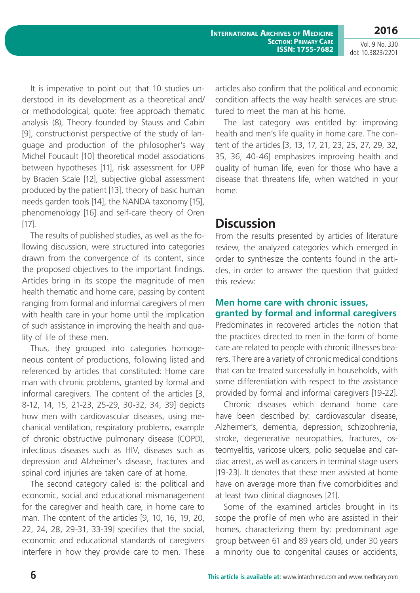**2016** Vol. 9 No. 330

doi: 10.3823/2201

It is imperative to point out that 10 studies understood in its development as a theoretical and/ or methodological, quote: free approach thematic analysis (8), Theory founded by Stauss and Cabin [9], constructionist perspective of the study of language and production of the philosopher's way Michel Foucault [10] theoretical model associations between hypotheses [11], risk assessment for UPP by Braden Scale [12], subjective global assessment produced by the patient [13], theory of basic human needs garden tools [14], the NANDA taxonomy [15], phenomenology [16] and self-care theory of Oren [17].

The results of published studies, as well as the following discussion, were structured into categories drawn from the convergence of its content, since the proposed objectives to the important findings. Articles bring in its scope the magnitude of men health thematic and home care, passing by content ranging from formal and informal caregivers of men with health care in your home until the implication of such assistance in improving the health and quality of life of these men.

Thus, they grouped into categories homogeneous content of productions, following listed and referenced by articles that constituted: Home care man with chronic problems, granted by formal and informal caregivers. The content of the articles [3, 8-12, 14, 15, 21-23, 25-29, 30-32, 34, 39] depicts how men with cardiovascular diseases, using mechanical ventilation, respiratory problems, example of chronic obstructive pulmonary disease (COPD), infectious diseases such as HIV, diseases such as depression and Alzheimer's disease, fractures and spinal cord injuries are taken care of at home.

The second category called is: the political and economic, social and educational mismanagement for the caregiver and health care, in home care to man. The content of the articles [9, 10, 16, 19, 20, 22, 24, 28, 29-31, 33-39] specifies that the social, economic and educational standards of caregivers interfere in how they provide care to men. These articles also confirm that the political and economic condition affects the way health services are structured to meet the man at his home.

The last category was entitled by: improving health and men's life quality in home care. The content of the articles [3, 13, 17, 21, 23, 25, 27, 29, 32, 35, 36, 40-46] emphasizes improving health and quality of human life, even for those who have a disease that threatens life, when watched in your home.

## **Discussion**

From the results presented by articles of literature review, the analyzed categories which emerged in order to synthesize the contents found in the articles, in order to answer the question that guided this review:

### **Men home care with chronic issues, granted by formal and informal caregivers**

Predominates in recovered articles the notion that the practices directed to men in the form of home care are related to people with chronic illnesses bearers. There are a variety of chronic medical conditions that can be treated successfully in households, with some differentiation with respect to the assistance provided by formal and informal caregivers [19-22].

Chronic diseases which demand home care have been described by: cardiovascular disease, Alzheimer's, dementia, depression, schizophrenia, stroke, degenerative neuropathies, fractures, osteomyelitis, varicose ulcers, polio sequelae and cardiac arrest, as well as cancers in terminal stage users [19-23]. It denotes that these men assisted at home have on average more than five comorbidities and at least two clinical diagnoses [21].

Some of the examined articles brought in its scope the profile of men who are assisted in their homes, characterizing them by: predominant age group between 61 and 89 years old, under 30 years a minority due to congenital causes or accidents,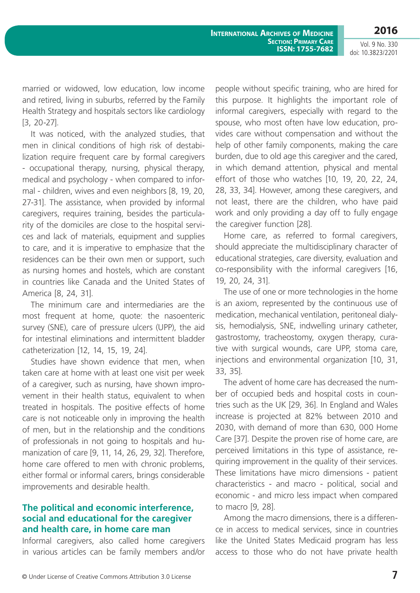**2016**

Vol. 9 No. 330 doi: 10.3823/2201

married or widowed, low education, low income and retired, living in suburbs, referred by the Family Health Strategy and hospitals sectors like cardiology [3, 20-27].

It was noticed, with the analyzed studies, that men in clinical conditions of high risk of destabilization require frequent care by formal caregivers - occupational therapy, nursing, physical therapy, medical and psychology - when compared to informal - children, wives and even neighbors [8, 19, 20, 27-31]. The assistance, when provided by informal caregivers, requires training, besides the particularity of the domiciles are close to the hospital services and lack of materials, equipment and supplies to care, and it is imperative to emphasize that the residences can be their own men or support, such as nursing homes and hostels, which are constant in countries like Canada and the United States of America [8, 24, 31].

The minimum care and intermediaries are the most frequent at home, quote: the nasoenteric survey (SNE), care of pressure ulcers (UPP), the aid for intestinal eliminations and intermittent bladder catheterization [12, 14, 15, 19, 24].

Studies have shown evidence that men, when taken care at home with at least one visit per week of a caregiver, such as nursing, have shown improvement in their health status, equivalent to when treated in hospitals. The positive effects of home care is not noticeable only in improving the health of men, but in the relationship and the conditions of professionals in not going to hospitals and humanization of care [9, 11, 14, 26, 29, 32]. Therefore, home care offered to men with chronic problems, either formal or informal carers, brings considerable improvements and desirable health.

### **The political and economic interference, social and educational for the caregiver and health care, in home care man**

Informal caregivers, also called home caregivers in various articles can be family members and/or people without specific training, who are hired for this purpose. It highlights the important role of informal caregivers, especially with regard to the spouse, who most often have low education, provides care without compensation and without the help of other family components, making the care burden, due to old age this caregiver and the cared, in which demand attention, physical and mental effort of those who watches [10, 19, 20, 22, 24, 28, 33, 34]. However, among these caregivers, and not least, there are the children, who have paid work and only providing a day off to fully engage the caregiver function [28].

Home care, as referred to formal caregivers, should appreciate the multidisciplinary character of educational strategies, care diversity, evaluation and co-responsibility with the informal caregivers [16, 19, 20, 24, 31].

The use of one or more technologies in the home is an axiom, represented by the continuous use of medication, mechanical ventilation, peritoneal dialysis, hemodialysis, SNE, indwelling urinary catheter, gastrostomy, tracheostomy, oxygen therapy, curative with surgical wounds, care UPP, stoma care, injections and environmental organization [10, 31, 33, 35].

The advent of home care has decreased the number of occupied beds and hospital costs in countries such as the UK [29, 36]. In England and Wales increase is projected at 82% between 2010 and 2030, with demand of more than 630, 000 Home Care [37]. Despite the proven rise of home care, are perceived limitations in this type of assistance, requiring improvement in the quality of their services. These limitations have micro dimensions - patient characteristics - and macro - political, social and economic - and micro less impact when compared to macro [9, 28].

Among the macro dimensions, there is a difference in access to medical services, since in countries like the United States Medicaid program has less access to those who do not have private health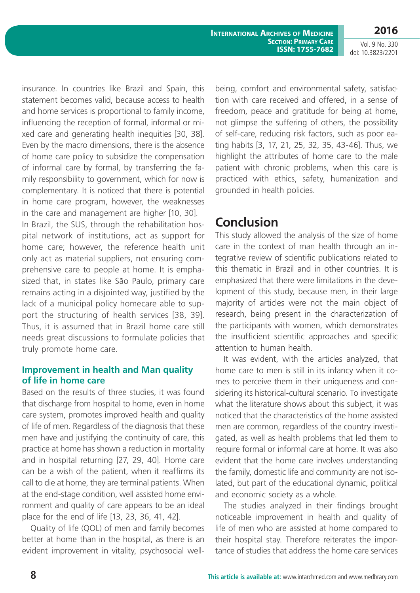**2016**

Vol. 9 No. 330 doi: 10.3823/2201

insurance. In countries like Brazil and Spain, this statement becomes valid, because access to health and home services is proportional to family income, influencing the reception of formal, informal or mixed care and generating health inequities [30, 38]. Even by the macro dimensions, there is the absence of home care policy to subsidize the compensation of informal care by formal, by transferring the family responsibility to government, which for now is complementary. It is noticed that there is potential in home care program, however, the weaknesses in the care and management are higher [10, 30]. In Brazil, the SUS, through the rehabilitation hospital network of institutions, act as support for

home care; however, the reference health unit only act as material suppliers, not ensuring comprehensive care to people at home. It is emphasized that, in states like São Paulo, primary care remains acting in a disjointed way, justified by the lack of a municipal policy homecare able to support the structuring of health services [38, 39]. Thus, it is assumed that in Brazil home care still needs great discussions to formulate policies that truly promote home care.

### **Improvement in health and Man quality of life in home care**

Based on the results of three studies, it was found that discharge from hospital to home, even in home care system, promotes improved health and quality of life of men. Regardless of the diagnosis that these men have and justifying the continuity of care, this practice at home has shown a reduction in mortality and in hospital returning [27, 29, 40]. Home care can be a wish of the patient, when it reaffirms its call to die at home, they are terminal patients. When at the end-stage condition, well assisted home environment and quality of care appears to be an ideal place for the end of life [13, 23, 36, 41, 42].

Quality of life (QOL) of men and family becomes better at home than in the hospital, as there is an evident improvement in vitality, psychosocial wellbeing, comfort and environmental safety, satisfaction with care received and offered, in a sense of freedom, peace and gratitude for being at home, not glimpse the suffering of others, the possibility of self-care, reducing risk factors, such as poor eating habits [3, 17, 21, 25, 32, 35, 43-46]. Thus, we highlight the attributes of home care to the male patient with chronic problems, when this care is practiced with ethics, safety, humanization and grounded in health policies.

## **Conclusion**

This study allowed the analysis of the size of home care in the context of man health through an integrative review of scientific publications related to this thematic in Brazil and in other countries. It is emphasized that there were limitations in the development of this study, because men, in their large majority of articles were not the main object of research, being present in the characterization of the participants with women, which demonstrates the insufficient scientific approaches and specific attention to human health.

It was evident, with the articles analyzed, that home care to men is still in its infancy when it comes to perceive them in their uniqueness and considering its historical-cultural scenario. To investigate what the literature shows about this subject, it was noticed that the characteristics of the home assisted men are common, regardless of the country investigated, as well as health problems that led them to require formal or informal care at home. It was also evident that the home care involves understanding the family, domestic life and community are not isolated, but part of the educational dynamic, political and economic society as a whole.

The studies analyzed in their findings brought noticeable improvement in health and quality of life of men who are assisted at home compared to their hospital stay. Therefore reiterates the importance of studies that address the home care services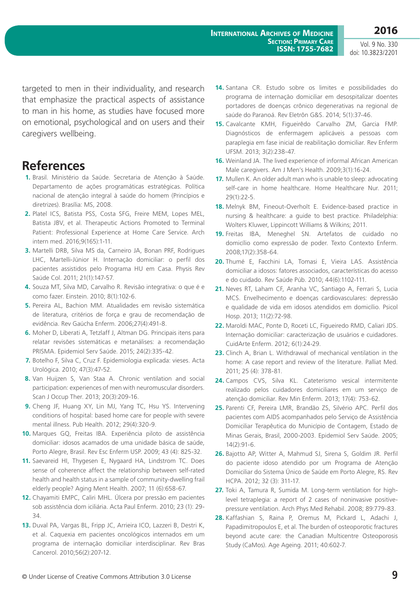targeted to men in their individuality, and research that emphasize the practical aspects of assistance to man in his home, as studies have focused more on emotional, psychological and on users and their caregivers wellbeing.

## **References**

- **1.** Brasil. Ministério da Saúde. Secretaria de Atenção à Saúde. Departamento de ações programáticas estratégicas. Política nacional de atenção integral à saúde do homem (Princípios e diretrizes). Brasília: MS, 2008.
- **2.** Platel ICS, Batista PSS, Costa SFG, Freire MEM, Lopes MEL, Batista JBV, et al. Therapeutic Actions Promoted to Terminal Patient: Professional Experience at Home Care Service. Arch intern med. 2016;9(165):1-11.
- **3.** Martelli DRB, Silva MS da, Carneiro JA, Bonan PRF, Rodrigues LHC, Martelli-Júnior H. Internação domiciliar: o perfil dos pacientes assistidos pelo Programa HU em Casa. Physis Rev Saúde Col. 2011; 21(1):147-57.
- **4.** Souza MT, Silva MD, Carvalho R. Revisão integrativa: o que é e como fazer. Einstein. 2010; 8(1):102-6.
- **5.** Pereira AL, Bachion MM. Atualidades em revisão sistemática de literatura, critérios de força e grau de recomendação de evidência. Rev Gaúcha Enferm. 2006;27(4):491-8.
- **6.** Moher D, Liberati A, Tetzlaff J, Altman DG. Principais itens para relatar revisões sistemáticas e metanálises: a recomendação PRISMA. Epidemiol Serv Saúde. 2015; 24(2):335-42.
- **7.** Botelho F, Silva C, Cruz F. Epidemiologia explicada: vieses. Acta Urológica. 2010; 47(3):47-52.
- **8.** Van Huijzen S, Van Staa A. Chronic ventilation and social participation: experiences of men with neuromuscular disorders. Scan J Occup Ther. 2013; 20(3):209-16.
- **9.** Cheng JF, Huang XY, Lin MJ, Yang TC, Hsu YS. Intervening conditions of hospital: based home care for people with severe mental illness. Pub Health. 2012; 29(4):320-9.
- **10.** Marques GQ, Freitas IBA. Experiência piloto de assistência domiciliar: idosos acamados de uma unidade básica de saúde, Porto Alegre, Brasil. Rev Esc Enferm USP. 2009; 43 (4): 825-32.
- **11.** Saevareid HI, Thygesen E, Nygaard HA, Lindstrom TC. Does sense of coherence affect the relationship between self-rated health and health status in a sample of community-dwelling frail elderly people? Aging Ment Health. 2007; 11 (6):658-67.
- **12.** Chayamiti EMPC, Caliri MHL. Úlcera por pressão em pacientes sob assistência dom iciliária. Acta Paul Enferm. 2010; 23 (1): 29- 34.
- **13.** Duval PA, Vargas BL, Fripp JC, Arrieira ICO, Lazzeri B, Destri K, et al. Caquexia em pacientes oncológicos internados em um programa de internação domiciliar interdisciplinar. Rev Bras Cancerol. 2010;56(2):207-12.
- **14.** Santana CR. Estudo sobre os limites e possibilidades do programa de internação domiciliar em desospitalizar doentes portadores de doenças crônico degenerativas na regional de saúde do Paranoá. Rev Eletrôn G&S. 2014; 5(1):37-46.
- **15.** Cavalcante KMH, Figueirêdo Carvalho ZM, Garcia FMP. Diagnósticos de enfermagem aplicáveis a pessoas com paraplegia em fase inicial de reabilitação domiciliar. Rev Enferm UFSM. 2013; 3(2):238-47.
- **16.** Weinland JA. The lived experience of informal African American Male caregivers. Am J Men's Health. 2009;3(1):16-24.
- **17.** Mullen K. An older adult man who is unable to sleep: advocating self-care in home healthcare. Home Healthcare Nur. 2011; 29(1):22-5.
- **18.** Melnyk BM, Fineout-Overholt E. Evidence-based practice in nursing & healthcare: a guide to best practice. Philadelphia: Wolters Kluwer, Lippincott Williams & Wilkins; 2011.
- **19.** Freitas IBA, Meneghel SN. Artefatos de cuidado no domicílio como expressão de poder. Texto Contexto Enferm. 2008;17(2):358-64.
- **20.** Thumé E, Facchini LA, Tomasi E, Vieira LAS. Assistência domiciliar a idosos: fatores associados, características do acesso e do cuidado. Rev Saúde Púb. 2010; 44(6):1102-111.
- **21.** Neves RT, Laham CF, Aranha VC, Santiago A, Ferrari S, Lucia MCS. Envelhecimento e doenças cardiovasculares: depressão e qualidade de vida em idosos atendidos em domicílio. Psicol Hosp. 2013; 11(2):72-98.
- **22.** Maroldi MAC, Ponte D, Roceti LC, Figueiredo RMD, Caliari JDS. Internação domiciliar: caracterização de usuários e cuidadores. CuidArte Enferm. 2012; 6(1):24-29.
- **23.** Clinch A, Brian L. Withdrawal of mechanical ventilation in the home: A case report and review of the literature. Palliat Med. 2011; 25 (4): 378-81.
- **24.** Campos CVS, Silva KL. Cateterismo vesical intermitente realizado pelos cuidadores domiciliares em um serviço de atenção domiciliar. Rev Min Enferm. 2013; 17(4): 753-62.
- **25.** Parenti CF, Pereira LMR, Brandão ZS, Silvério APC. Perfil dos pacientes com AIDS acompanhados pelo Serviço de Assistência Domiciliar Terapêutica do Município de Contagem, Estado de Minas Gerais, Brasil, 2000-2003. Epidemiol Serv Saúde. 2005; 14(2):91-6.
- **26.** Bajotto AP, Witter A, Mahmud SJ, Sirena S, Goldim JR. Perfil do paciente idoso atendido por um Programa de Atenção Domiciliar do Sistema Único de Saúde em Porto Alegre, RS. Rev HCPA. 2012; 32 (3): 311-17.
- **27.** Toki A, Tamura R, Sumida M. Long-term ventilation for highlevel tetraplegia: a report of 2 cases of noninvasive positivepressure ventilation. Arch Phys Med Rehabil. 2008; 89:779-83.
- **28.** Kaffashian S, Raina P, Oremus M, Pickard L, Adachi J, Papadimitropoulos E, et al. The burden of osteoporotic fractures beyond acute care: the Canadian Multicentre Osteoporosis Study (CaMos). Age Ageing. 2011; 40:602-7.